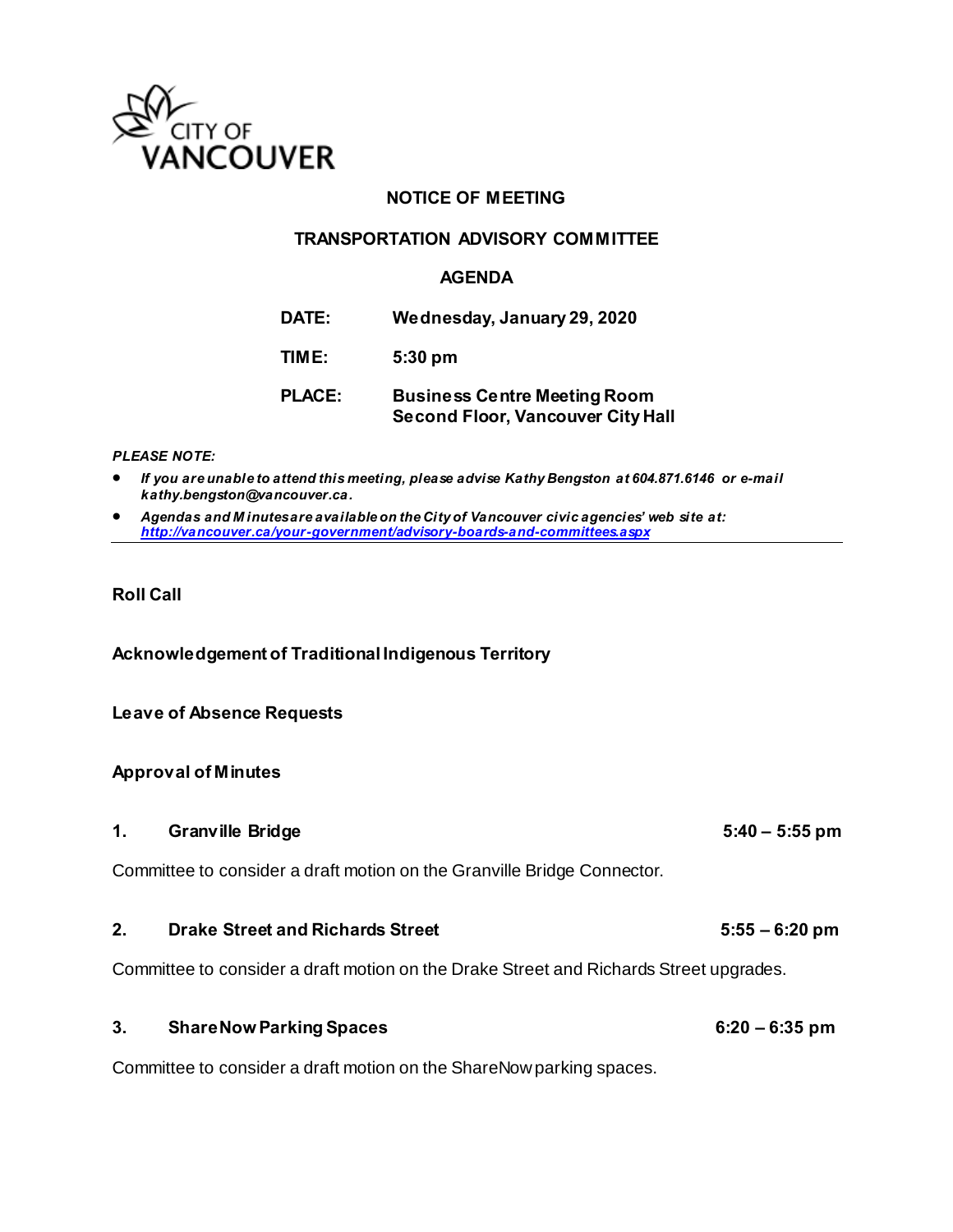

### **NOTICE OF MEETING**

### **TRANSPORTATION ADVISORY COMMITTEE**

### **AGENDA**

| DATE: | Wednesday, January 29, 2020 |
|-------|-----------------------------|
|-------|-----------------------------|

**TIME: 5:30 pm**

# **PLACE: Business Centre Meeting Room Second Floor, Vancouver City Hall**

#### *PLEASE NOTE:*

 *If you are unable to attend this meeting, please advise Kathy Bengston at 604.871.6146 or e-mail kathy.bengston@vancouver.ca.* 

 *Agendas and M inutes are available on the City of Vancouver civic agencies' web site at: <http://vancouver.ca/your-government/advisory-boards-and-committees.aspx>*

### **Roll Call**

**Acknowledgement of Traditional Indigenous Territory** 

#### **Leave of Absence Requests**

#### **Approval of Minutes**

**1. Granville Bridge 5:40 – 5:55 pm** Committee to consider a draft motion on the Granville Bridge Connector.

# 2. Drake Street and Richards Street **1988 1988 5:55** – 6:20 pm

Committee to consider a draft motion on the Drake Street and Richards Street upgrades.

# **3. ShareNow Parking Spaces 6:20 – 6:35 pm**

Committee to consider a draft motion on the ShareNow parking spaces.